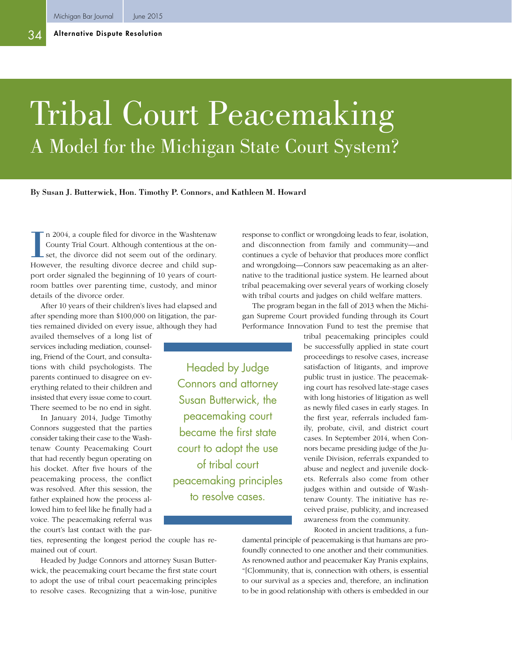# Tribal Court Peacemaking A Model for the Michigan State Court System?

#### By Susan J. Butterwick, Hon. Timothy P. Connors, and Kathleen M. Howard

I n 2004, a couple filed for divorce in the Washtenaw County Trial Court. Although contentious at the onset, the divorce did not seem out of the ordinary. However, the resulting divorce decree and child support order signaled the beginning of 10 years of courtroom battles over parenting time, custody, and minor details of the divorce order.

After 10 years of their children's lives had elapsed and after spending more than \$100,000 on litigation, the parties remained divided on every issue, although they had

availed themselves of a long list of services including mediation, counseling, Friend of the Court, and consultations with child psychologists. The parents continued to disagree on everything related to their children and insisted that every issue come to court. There seemed to be no end in sight.

In January 2014, Judge Timothy Connors suggested that the parties consider taking their case to the Washtenaw County Peacemaking Court that had recently begun operating on his docket. After five hours of the peacemaking process, the conflict was resolved. After this session, the father explained how the process allowed him to feel like he finally had a voice. The peacemaking referral was the court's last contact with the par-

Headed by Judge Connors and attorney Susan Butterwick, the peacemaking court became the first state court to adopt the use of tribal court peacemaking principles to resolve cases.

response to conflict or wrongdoing leads to fear, isolation, and disconnection from family and community—and continues a cycle of behavior that produces more conflict and wrongdoing—Connors saw peacemaking as an alternative to the traditional justice system. He learned about tribal peacemaking over several years of working closely with tribal courts and judges on child welfare matters.

The program began in the fall of 2013 when the Michigan Supreme Court provided funding through its Court Performance Innovation Fund to test the premise that

> tribal peacemaking principles could be successfully applied in state court proceedings to resolve cases, increase satisfaction of litigants, and improve public trust in justice. The peacemaking court has resolved late-stage cases with long histories of litigation as well as newly filed cases in early stages. In the first year, referrals included family, probate, civil, and district court cases. In September 2014, when Connors became presiding judge of the Juvenile Division, referrals expanded to abuse and neglect and juvenile dockets. Referrals also come from other judges within and outside of Washtenaw County. The initiative has received praise, publicity, and increased awareness from the community.

Rooted in ancient traditions, a fun-

ties, representing the longest period the couple has remained out of court.

Headed by Judge Connors and attorney Susan Butterwick, the peacemaking court became the first state court to adopt the use of tribal court peacemaking principles to resolve cases. Recognizing that a win-lose, punitive

damental principle of peacemaking is that humans are profoundly connected to one another and their communities. As renowned author and peacemaker Kay Pranis explains, "[C]ommunity, that is, connection with others, is essential to our survival as a species and, therefore, an inclination to be in good relationship with others is embedded in our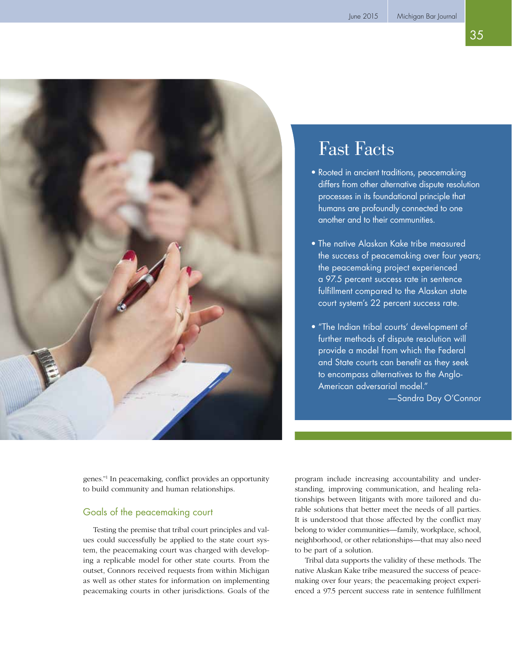35



# Fast Facts

- Rooted in ancient traditions, peacemaking differs from other alternative dispute resolution processes in its foundational principle that humans are profoundly connected to one another and to their communities.
- The native Alaskan Kake tribe measured the success of peacemaking over four years; the peacemaking project experienced a 97.5 percent success rate in sentence fulfillment compared to the Alaskan state court system's 22 percent success rate.
- "The Indian tribal courts' development of further methods of dispute resolution will provide a model from which the Federal and State courts can benefit as they seek to encompass alternatives to the Anglo-American adversarial model." —Sandra Day O'Connor

genes."1 In peacemaking, conflict provides an opportunity to build community and human relationships.

## Goals of the peacemaking court

Testing the premise that tribal court principles and values could successfully be applied to the state court system, the peacemaking court was charged with developing a replicable model for other state courts. From the outset, Connors received requests from within Michigan as well as other states for information on implementing peacemaking courts in other jurisdictions. Goals of the

program include increasing accountability and understanding, improving communication, and healing relationships between litigants with more tailored and durable solutions that better meet the needs of all parties. It is understood that those affected by the conflict may belong to wider communities—family, workplace, school, neighborhood, or other relationships—that may also need to be part of a solution.

Tribal data supports the validity of these methods. The native Alaskan Kake tribe measured the success of peacemaking over four years; the peacemaking project experienced a 97.5 percent success rate in sentence fulfillment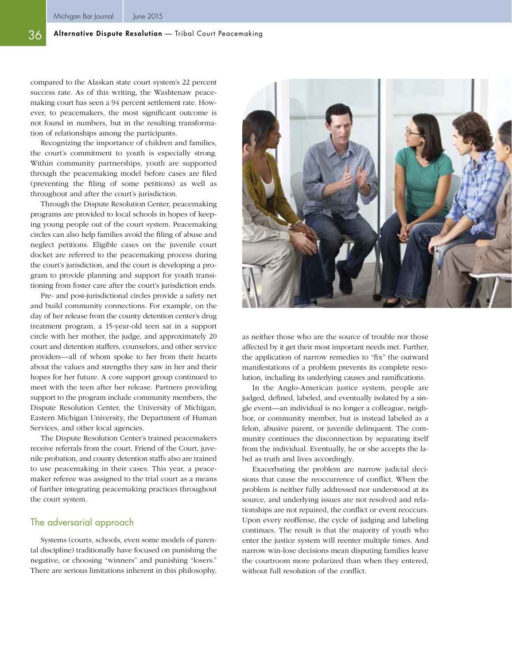#### 36 Alternative Dispute Resolution — Tribal Court Peacemaking

compared to the Alaskan state court system's 22 percent success rate. As of this writing, the Washtenaw peacemaking court has seen a 94 percent settlement rate. However, to peacemakers, the most significant outcome is not found in numbers, but in the resulting transformation of relationships among the participants.

Recognizing the importance of children and families, the court's commitment to youth is especially strong. Within community partnerships, youth are supported through the peacemaking model before cases are filed (preventing the filing of some petitions) as well as throughout and after the court's jurisdiction.

Through the Dispute Resolution Center, peacemaking programs are provided to local schools in hopes of keeping young people out of the court system. Peacemaking circles can also help families avoid the filing of abuse and neglect petitions. Eligible cases on the juvenile court docket are referred to the peacemaking process during the court's jurisdiction, and the court is developing a program to provide planning and support for youth transitioning from foster care after the court's jurisdiction ends.

Pre- and post-jurisdictional circles provide a safety net and build community connections. For example, on the day of her release from the county detention center's drug treatment program, a 15-year-old teen sat in a support circle with her mother, the judge, and approximately 20 court and detention staffers, counselors, and other service providers—all of whom spoke to her from their hearts about the values and strengths they saw in her and their hopes for her future. A core support group continued to meet with the teen after her release. Partners providing support to the program include community members, the Dispute Resolution Center, the University of Michigan, Eastern Michigan University, the Department of Human Services, and other local agencies.

The Dispute Resolution Center's trained peacemakers receive referrals from the court. Friend of the Court, juvenile probation, and county detention staffs also are trained to use peacemaking in their cases. This year, a peacemaker referee was assigned to the trial court as a means of further integrating peacemaking practices throughout the court system.

#### The adversarial approach

Systems (courts, schools, even some models of parental discipline) traditionally have focused on punishing the negative, or choosing "winners" and punishing "losers." There are serious limitations inherent in this philosophy,



as neither those who are the source of trouble nor those affected by it get their most important needs met. Further, the application of narrow remedies to "fix" the outward manifestations of a problem prevents its complete resolution, including its underlying causes and ramifications.

In the Anglo-American justice system, people are judged, defined, labeled, and eventually isolated by a single event—an individual is no longer a colleague, neighbor, or community member, but is instead labeled as a felon, abusive parent, or juvenile delinquent. The community continues the disconnection by separating itself from the individual. Eventually, he or she accepts the label as truth and lives accordingly.

Exacerbating the problem are narrow judicial decisions that cause the reoccurrence of conflict. When the problem is neither fully addressed nor understood at its source, and underlying issues are not resolved and relationships are not repaired, the conflict or event reoccurs. Upon every reoffense, the cycle of judging and labeling continues. The result is that the majority of youth who enter the justice system will reenter multiple times. And narrow win-lose decisions mean disputing families leave the courtroom more polarized than when they entered, without full resolution of the conflict.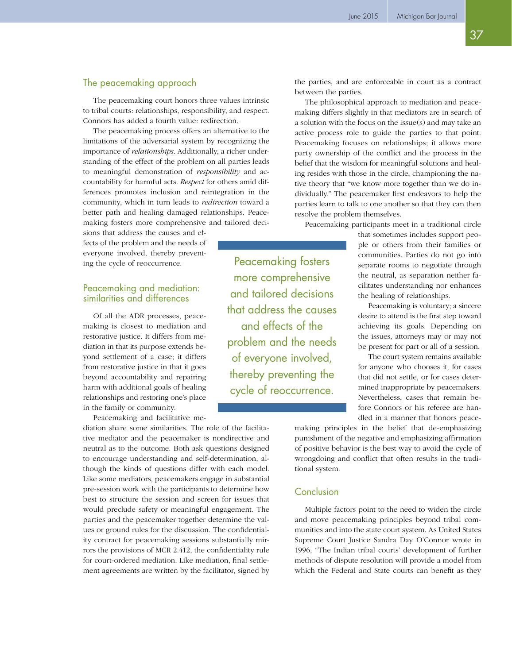### The peacemaking approach

The peacemaking court honors three values intrinsic to tribal courts: relationships, responsibility, and respect. Connors has added a fourth value: redirection.

The peacemaking process offers an alternative to the limitations of the adversarial system by recognizing the importance of *relationships*. Additionally, a richer understanding of the effect of the problem on all parties leads to meaningful demonstration of *responsibility* and accountability for harmful acts. *Respect* for others amid differences promotes inclusion and reintegration in the community, which in turn leads to *redirection* toward a better path and healing damaged relationships. Peacemaking fosters more comprehensive and tailored deci-

sions that address the causes and effects of the problem and the needs of everyone involved, thereby preventing the cycle of reoccurrence.

#### Peacemaking and mediation: similarities and differences

Of all the ADR processes, peacemaking is closest to mediation and restorative justice. It differs from mediation in that its purpose extends beyond settlement of a case; it differs from restorative justice in that it goes beyond accountability and repairing harm with additional goals of healing relationships and restoring one's place in the family or community.

Peacemaking and facilitative me-

diation share some similarities. The role of the facilitative mediator and the peacemaker is nondirective and neutral as to the outcome. Both ask questions designed to encourage understanding and self-determination, although the kinds of questions differ with each model. Like some mediators, peacemakers engage in substantial pre-session work with the participants to determine how best to structure the session and screen for issues that would preclude safety or meaningful engagement. The parties and the peacemaker together determine the values or ground rules for the discussion. The confidentiality contract for peacemaking sessions substantially mirrors the provisions of MCR 2.412, the confidentiality rule for court-ordered mediation. Like mediation, final settlement agreements are written by the facilitator, signed by

Peacemaking fosters more comprehensive and tailored decisions that address the causes and effects of the problem and the needs of everyone involved, thereby preventing the cycle of reoccurrence.

the parties, and are enforceable in court as a contract between the parties.

The philosophical approach to mediation and peacemaking differs slightly in that mediators are in search of a solution with the focus on the issue(s) and may take an active process role to guide the parties to that point. Peacemaking focuses on relationships; it allows more party ownership of the conflict and the process in the belief that the wisdom for meaningful solutions and healing resides with those in the circle, championing the native theory that "we know more together than we do individually." The peacemaker first endeavors to help the parties learn to talk to one another so that they can then resolve the problem themselves.

Peacemaking participants meet in a traditional circle

that sometimes includes support people or others from their families or communities. Parties do not go into separate rooms to negotiate through the neutral, as separation neither facilitates understanding nor enhances the healing of relationships.

Peacemaking is voluntary; a sincere desire to attend is the first step toward achieving its goals. Depending on the issues, attorneys may or may not be present for part or all of a session.

The court system remains available for anyone who chooses it, for cases that did not settle, or for cases determined inappropriate by peacemakers. Nevertheless, cases that remain before Connors or his referee are handled in a manner that honors peace-

making principles in the belief that de-emphasizing punishment of the negative and emphasizing affirmation of positive behavior is the best way to avoid the cycle of wrongdoing and conflict that often results in the traditional system.

#### Conclusion

Multiple factors point to the need to widen the circle and move peacemaking principles beyond tribal communities and into the state court system. As United States Supreme Court Justice Sandra Day O'Connor wrote in 1996, "The Indian tribal courts' development of further methods of dispute resolution will provide a model from which the Federal and State courts can benefit as they